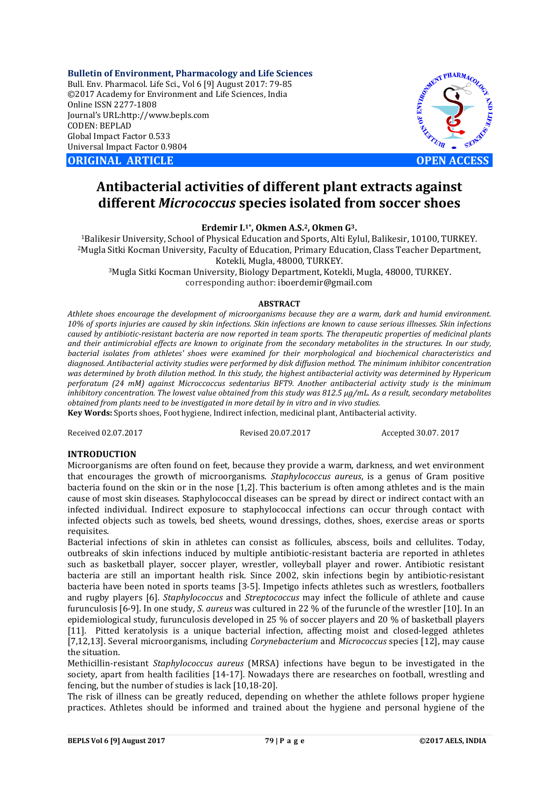**Bulletin of Environment, Pharmacology and Life Sciences** Bull. Env. Pharmacol. Life Sci., Vol 6 [9] August 2017: 79-85 ©2017 Academy for Environment and Life Sciences, India Online ISSN 2277-1808 Journal's URL:http://www.bepls.com CODEN: BEPLAD Global Impact Factor 0.533 Universal Impact Factor 0.9804

**ORIGINAL ARTICLE OPEN ACCESS** 



# **Antibacterial activities of different plant extracts against different** *Micrococcus* **species isolated from soccer shoes**

**Erdemir I.1\*, Okmen A.S.2, Okmen G3.**

1Balikesir University, School of Physical Education and Sports, Alti Eylul, Balikesir, 10100, TURKEY. 2Mugla Sitki Kocman University, Faculty of Education, Primary Education, Class Teacher Department, Kotekli, Mugla, 48000, TURKEY.

3Mugla Sitki Kocman University, Biology Department, Kotekli, Mugla, 48000, TURKEY. corresponding author: iboerdemir@gmail.com

#### **ABSTRACT**

*Athlete shoes encourage the development of microorganisms because they are a warm, dark and humid environment. 10% of sports injuries are caused by skin infections. Skin infections are known to cause serious illnesses. Skin infections caused by antibiotic-resistant bacteria are now reported in team sports. The therapeutic properties of medicinal plants and their antimicrobial effects are known to originate from the secondary metabolites in the structures. In our study, bacterial isolates from athletes' shoes were examined for their morphological and biochemical characteristics and diagnosed. Antibacterial activity studies were performed by disk diffusion method. The minimum inhibitor concentration was determined by broth dilution method. In this study, the highest antibacterial activity was determined by Hypericum perforatum (24 mM) against Microccoccus sedentarius BFT9. Another antibacterial activity study is the minimum inhibitory concentration. The lowest value obtained from this study was 812.5 μg/mL. As a result, secondary metabolites obtained from plants need to be investigated in more detail by in vitro and in vivo studies.*

**Key Words:** Sports shoes, Foot hygiene, Indirect infection, medicinal plant, Antibacterial activity.

Received 02.07.2017 Revised 20.07.2017 Accepted 30.07. 2017

#### **INTRODUCTION**

Microorganisms are often found on feet, because they provide a warm, darkness, and wet environment that encourages the growth of microorganisms. *Staphylococcus aureus*, is a genus of Gram positive bacteria found on the skin or in the nose [1,2]. This bacterium is often among athletes and is the main cause of most skin diseases. Staphylococcal diseases can be spread by direct or indirect contact with an infected individual. Indirect exposure to staphylococcal infections can occur through contact with infected objects such as towels, bed sheets, wound dressings, clothes, shoes, exercise areas or sports requisites.

Bacterial infections of skin in athletes can consist as follicules, abscess, boils and cellulites. Today, outbreaks of skin infections induced by multiple antibiotic-resistant bacteria are reported in athletes such as basketball player, soccer player, wrestler, volleyball player and rower. Antibiotic resistant bacteria are still an important health risk. Since 2002, skin infections begin by antibiotic-resistant bacteria have been noted in sports teams [3-5]. Impetigo infects athletes such as wrestlers, footballers and rugby players [6]. *Staphylococcus* and *Streptococcus* may infect the follicule of athlete and cause furunculosis [6-9]. In one study, *S. aureus* was cultured in 22 % of the furuncle of the wrestler [10]. In an epidemiological study, furunculosis developed in 25 % of soccer players and 20 % of basketball players [11]. Pitted keratolysis is a unique bacterial infection, affecting moist and closed-legged athletes [7,12,13]. Several microorganisms, including *Corynebacterium* and *Micrococcus* species [12], may cause the situation.

Methicillin-resistant *Staphylococcus aureus* (MRSA) infections have begun to be investigated in the society, apart from health facilities [14-17]. Nowadays there are researches on football, wrestling and fencing, but the number of studies is lack [10,18-20].

The risk of illness can be greatly reduced, depending on whether the athlete follows proper hygiene practices. Athletes should be informed and trained about the hygiene and personal hygiene of the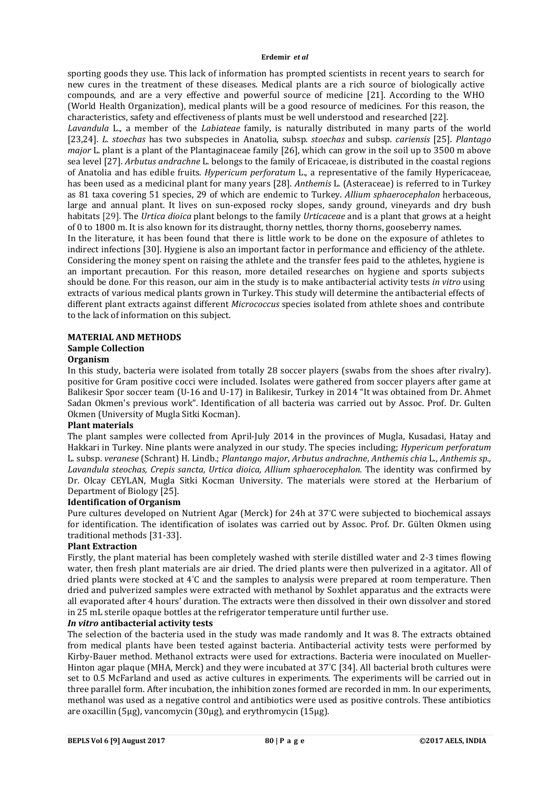sporting goods they use. This lack of information has prompted scientists in recent years to search for new cures in the treatment of these diseases. Medical plants are a rich source of biologically active compounds, and are a very effective and powerful source of medicine [21]. According to the WHO (World Health Organization), medical plants will be a good resource of medicines. For this reason, the characteristics, safety and effectiveness of plants must be well understood and researched [22].

*Lavandula* L., a member of the *Labiateae* family, is naturally distributed in many parts of the world [23,24]. *L. stoechas* has two subspecies in Anatolia, subsp. *stoechas* and subsp. *cariensis* [25]. *Plantago major* L. plant is a plant of the Plantaginaceae family [26], which can grow in the soil up to 3500 m above sea level [27]. *Arbutus andrachne* L. belongs to the family of Ericaceae, is distributed in the coastal regions of Anatolia and has edible fruits. *Hypericum perforatum* L., a representative of the family Hypericaceae, has been used as a medicinal plant for many years [28]. *Anthemis* L. (Asteraceae) is referred to in Turkey as 81 taxa covering 51 species, 29 of which are endemic to Turkey. *Allium sphaerocephalon* herbaceous, large and annual plant. It lives on sun-exposed rocky slopes, sandy ground, vineyards and dry bush habitats [29]. The *Urtica dioica* plant belongs to the family *Urticaceae* and is a plant that grows at a height of 0 to 1800 m. It is also known for its distraught, thorny nettles, thorny thorns, gooseberry names. In the literature, it has been found that there is little work to be done on the exposure of athletes to indirect infections [30]. Hygiene is also an important factor in performance and efficiency of the athlete. Considering the money spent on raising the athlete and the transfer fees paid to the athletes, hygiene is an important precaution. For this reason, more detailed researches on hygiene and sports subjects should be done. For this reason, our aim in the study is to make antibacterial activity tests *in vitro* using extracts of various medical plants grown in Turkey. This study will determine the antibacterial effects of different plant extracts against different *Micrococcus* species isolated from athlete shoes and contribute to the lack of information on this subject.

#### **MATERIAL AND METHODS Sample Collection**

# **Organism**

In this study, bacteria were isolated from totally 28 soccer players (swabs from the shoes after rivalry). positive for Gram positive cocci were included. Isolates were gathered from soccer players after game at Balikesir Spor soccer team (U-16 and U-17) in Balikesir, Turkey in 2014 "It was obtained from Dr. Ahmet Sadan Okmen's previous work". Identification of all bacteria was carried out by Assoc. Prof. Dr. Gulten Okmen (University of Mugla Sitki Kocman).

### **Plant materials**

The plant samples were collected from April-July 2014 in the provinces of Mugla, Kusadasi, Hatay and Hakkari in Turkey. Nine plants were analyzed in our study. The species including; *Hypericum perforatum* L. subsp. *veranese* (Schrant) H. Lindb.; *Plantango major*, *Arbutus andrachne*, *Anthemis chia* L., *Anthemis sp., Lavandula steochas, Crepis sancta, Urtica dioica, Allium sphaerocephalon.* The identity was confirmed by Dr. Olcay CEYLAN, Mugla Sitki Kocman University. The materials were stored at the Herbarium of Department of Biology [25].

### **Identification of Organism**

Pure cultures developed on Nutrient Agar (Merck) for 24h at 37° C were subjected to biochemical assays for identification. The identification of isolates was carried out by Assoc. Prof. Dr. Gülten Okmen using traditional methods [31-33].

## **Plant Extraction**

Firstly, the plant material has been completely washed with sterile distilled water and 2-3 times flowing water, then fresh plant materials are air dried. The dried plants were then pulverized in a agitator. All of dried plants were stocked at 4° C and the samples to analysis were prepared at room temperature. Then dried and pulverized samples were extracted with methanol by Soxhlet apparatus and the extracts were all evaporated after 4 hours' duration. The extracts were then dissolved in their own dissolver and stored in 25 mL sterile opaque bottles at the refrigerator temperature until further use.

### *In vitro* **antibacterial activity tests**

The selection of the bacteria used in the study was made randomly and It was 8. The extracts obtained from medical plants have been tested against bacteria. Antibacterial activity tests were performed by Kirby-Bauer method. Methanol extracts were used for extractions. Bacteria were inoculated on Mueller-Hinton agar plaque (MHA, Merck) and they were incubated at 37° C [34]. All bacterial broth cultures were set to 0.5 McFarland and used as active cultures in experiments. The experiments will be carried out in three parallel form. After incubation, the inhibition zones formed are recorded in mm. In our experiments, methanol was used as a negative control and antibiotics were used as positive controls. These antibiotics are oxacillin (5μg), vancomycin (30μg), and erythromycin (15μg).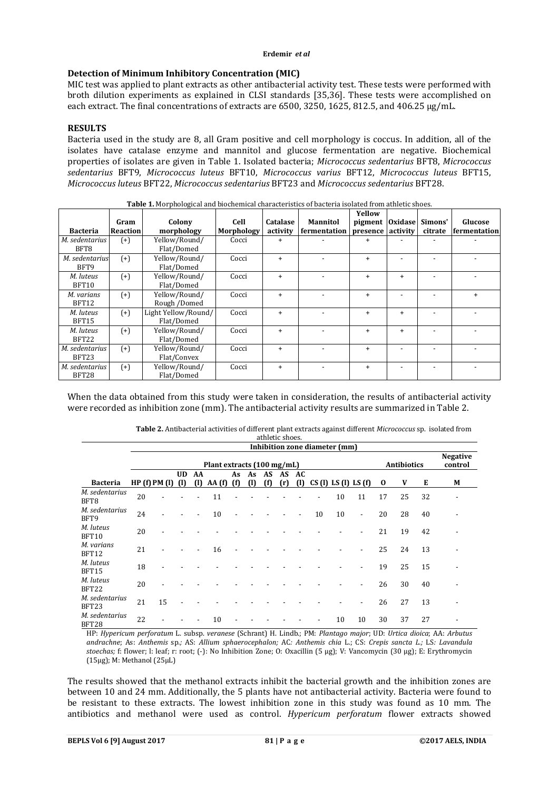# **Detection of Minimum Inhibitory Concentration (MIC)**

MIC test was applied to plant extracts as other antibacterial activity test. These tests were performed with broth dilution experiments as explained in CLSI standards [35,36]. These tests were accomplished on each extract. The final concentrations of extracts are 6500, 3250, 1625, 812.5, and 406.25 μg/mL.

# **RESULTS**

Bacteria used in the study are 8, all Gram positive and cell morphology is coccus. In addition, all of the isolates have catalase enzyme and mannitol and glucose fermentation are negative. Biochemical properties of isolates are given in Table 1. Isolated bacteria; *Micrococcus sedentarius* BFT8, *Micrococcus sedentarius* BFT9, *Micrococcus luteus* BFT10, *Micrococcus varius* BFT12, *Micrococcus luteus* BFT15, *Micrococcus luteus* BFT22, *Micrococcus sedentarius* BFT23 and *Micrococcus sedentarius* BFT28.

|                         |                 | <b>rapic I</b> ntrol photogreat and bioenemical endracteristics of bacteria isolated from atmetic shoes. |            |           |                 |           |                |         |              |
|-------------------------|-----------------|----------------------------------------------------------------------------------------------------------|------------|-----------|-----------------|-----------|----------------|---------|--------------|
|                         |                 |                                                                                                          |            |           |                 | Yellow    |                |         |              |
|                         | Gram            | Colony                                                                                                   | Cell       | Catalase  | <b>Mannitol</b> | pigment   | <b>Oxidase</b> | Simons' | Glucose      |
| <b>Bacteria</b>         | <b>Reaction</b> | morphology                                                                                               | Morphology | activity  | fermentation    | presence  | activity       | citrate | fermentation |
| M. sedentarius<br>BFT8  | $^{(+)}$        | Yellow/Round/<br>Flat/Domed                                                                              | Cocci      | $\ddot{}$ |                 | $\ddot{}$ |                |         |              |
| M. sedentarius<br>BFT9  | $^{(+)}$        | Yellow/Round/<br>Flat/Domed                                                                              | Cocci      | $\ddot{}$ |                 | $\ddot{}$ |                |         |              |
| M. luteus<br>BFT10      | $^{(+)}$        | Yellow/Round/<br>Flat/Domed                                                                              | Cocci      | $\ddot{}$ |                 | $\ddot{}$ | $+$            |         |              |
| M. varians<br>BFT12     | $(+)$           | Yellow/Round/<br>Rough /Domed                                                                            | Cocci      | $\ddot{}$ |                 | $\ddot{}$ |                |         | $\ddot{}$    |
| M. luteus<br>BFT15      | $^{(+)}$        | Light Yellow/Round/<br>Flat/Domed                                                                        | Cocci      | $\ddot{}$ |                 | $\ddot{}$ | $\ddot{}$      |         |              |
| M. luteus<br>BFT22      | $^{(+)}$        | Yellow/Round/<br>Flat/Domed                                                                              | Cocci      | $\ddot{}$ |                 | $\ddot{}$ | $\ddot{}$      |         |              |
| M. sedentarius<br>BFT23 | $^{(+)}$        | Yellow/Round/<br>Flat/Convex                                                                             | Cocci      | $\ddot{}$ |                 | $\ddot{}$ |                |         |              |
| M. sedentarius<br>BFT28 | $^{(+)}$        | Yellow/Round/<br>Flat/Domed                                                                              | Cocci      | $\ddot{}$ |                 | $\ddot{}$ |                |         |              |

**Table 1.** Morphological and biochemical characteristics of bacteria isolated from athletic shoes.

When the data obtained from this study were taken in consideration, the results of antibacterial activity were recorded as inhibition zone (mm). The antibacterial activity results are summarized in Table 2.

| Table 2. Antibacterial activities of different plant extracts against different <i>Micrococcus</i> sp. isolated from |  |
|----------------------------------------------------------------------------------------------------------------------|--|
| athletic shoes.                                                                                                      |  |

|                         | Inhibition zone diameter (mm) |            |                           |                    |       |     |                 |     |              |     |                           |    |                          |    |                    |                            |   |
|-------------------------|-------------------------------|------------|---------------------------|--------------------|-------|-----|-----------------|-----|--------------|-----|---------------------------|----|--------------------------|----|--------------------|----------------------------|---|
|                         | Plant extracts (100 mg/mL)    |            |                           |                    |       |     |                 |     |              |     |                           |    |                          |    | <b>Antibiotics</b> | <b>Negative</b><br>control |   |
| <b>Bacteria</b>         |                               | HP(f)PM(I) | <b>UD</b><br>$\mathbf{u}$ | AA<br>$\mathbf{u}$ | AA(f) | (f) | As As AS<br>(1) | (f) | AS AC<br>(r) | (1) | $CS(1)$ LS $(1)$ LS $(f)$ |    |                          | 0  | V                  | Е                          | М |
| M. sedentarius<br>BFT8  | 20                            |            |                           |                    | 11    |     |                 |     |              |     |                           | 10 | 11                       | 17 | 25                 | 32                         |   |
| M. sedentarius<br>BFT9  | 24                            |            |                           |                    | 10    |     |                 |     |              |     | 10                        | 10 | $\overline{\phantom{a}}$ | 20 | 28                 | 40                         |   |
| M. luteus<br>BFT10      | 20                            |            |                           |                    |       |     |                 |     |              |     |                           |    |                          | 21 | 19                 | 42                         |   |
| M. varians<br>BFT12     | 21                            |            |                           |                    | 16    |     |                 |     |              |     |                           |    |                          | 25 | 24                 | 13                         |   |
| M. luteus<br>BFT15      | 18                            |            |                           |                    |       |     |                 |     |              |     |                           |    |                          | 19 | 25                 | 15                         |   |
| M. luteus<br>BFT22      | 20                            |            |                           |                    |       |     |                 |     |              |     |                           |    |                          | 26 | 30                 | 40                         |   |
| M. sedentarius<br>BFT23 | 21                            | 15         |                           |                    |       |     |                 |     |              |     |                           |    |                          | 26 | 27                 | 13                         |   |
| M. sedentarius<br>BFT28 | 22                            |            |                           |                    | 10    |     |                 |     |              |     |                           | 10 | 10                       | 30 | 37                 | 27                         |   |

HP: *Hypericum perforatum* L. subsp. *veranese* (Schrant) H. Lindb.; PM: *Plantago major*; UD: *Urtica dioica*; AA: *Arbutus andrachne*; As: *Anthemis* sp*.;* AS: *Allium sphaerocephalon;* AC*: Anthemis chia* L.; CS: *Crepis sancta L.;* LS*: Lavandula stoechas;* f: flower; l: leaf; r: root; (-): No Inhibition Zone; O: Oxacillin (5 µg); V: Vancomycin (30 µg); E: Erythromycin (15µg); M: Methanol (25µL)

The results showed that the methanol extracts inhibit the bacterial growth and the inhibition zones are between 10 and 24 mm. Additionally, the 5 plants have not antibacterial activity. Bacteria were found to be resistant to these extracts. The lowest inhibition zone in this study was found as 10 mm. The antibiotics and methanol were used as control. *Hypericum perforatum* flower extracts showed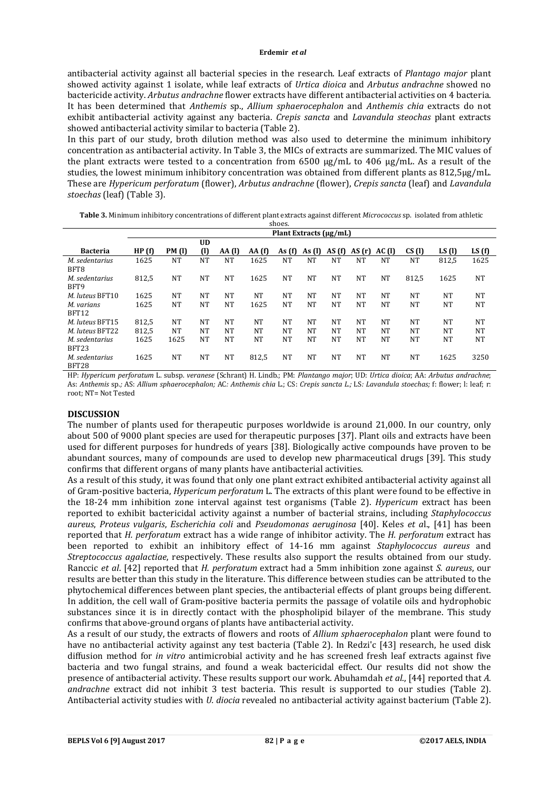antibacterial activity against all bacterial species in the research. Leaf extracts of *Plantago major* plant showed activity against 1 isolate, while leaf extracts of *Urtica dioica* and *Arbutus andrachne* showed no bactericide activity. *Arbutus andrachne* flower extracts have different antibacterial activities on 4 bacteria. It has been determined that *Anthemis* sp., *Allium sphaerocephalon* and *Anthemis chia* extracts do not exhibit antibacterial activity against any bacteria. *Crepis sancta* and *Lavandula steochas* plant extracts showed antibacterial activity similar to bacteria (Table 2).

In this part of our study, broth dilution method was also used to determine the minimum inhibitory concentration as antibacterial activity. In Table 3, the MICs of extracts are summarized. The MIC values of the plant extracts were tested to a concentration from 6500 μg/mL to 406 μg/mL. As a result of the studies, the lowest minimum inhibitory concentration was obtained from different plants as 812,5µg/mL. These are *Hypericum perforatum* (flower), *Arbutus andrachne* (flower), *Crepis sancta* (leaf) and *Lavandula stoechas* (leaf) (Table 3).

**Table 3.** Minimum inhibitory concentrations of different plant extracts against different *Micrococcus* sp. isolated from athletic shoes.

|                         | Plant Extracts (µg/mL) |               |              |                      |            |                 |           |           |           |       |           |           |           |
|-------------------------|------------------------|---------------|--------------|----------------------|------------|-----------------|-----------|-----------|-----------|-------|-----------|-----------|-----------|
|                         |                        |               | <b>UD</b>    |                      |            |                 |           |           |           |       |           |           |           |
| Bacteria                | HP(f)                  | <b>PM</b> (1) | $\mathbf{u}$ | AA (1)               | AA(f)      | As $(f)$        | As $(1)$  | AS (f)    | AS(r)     | AC(1) | CS(1)     | LS(1)     | LS(f)     |
| M. sedentarius<br>BFT8  | 1625                   | <b>NT</b>     | NT           | <b>NT</b>            | 1625       | NT              | NT        | <b>NT</b> | NT        | NT    | NT        | 812,5     | 1625      |
| M. sedentarius<br>BFT9  | 812,5                  | <b>NT</b>     | NT           | <b>NT</b>            | 1625       | NT              | <b>NT</b> | <b>NT</b> | <b>NT</b> | NT    | 812,5     | 1625      | <b>NT</b> |
| M. luteus BFT10         | 1625                   | <b>NT</b>     | NT           | <b>NT</b>            | NT         | NT              | <b>NT</b> | <b>NT</b> | NT        | NT    | NT        | <b>NT</b> | <b>NT</b> |
| M. varians<br>BFT12     | 1625                   | <b>NT</b>     | NT           | <b>NT</b>            | 1625       | NT              | <b>NT</b> | <b>NT</b> | NT        | NT    | <b>NT</b> | <b>NT</b> | <b>NT</b> |
| M. luteus BFT15         | 812,5                  | NT            | NT           | <b>NT</b>            | NT         | NT              | NT        | NT        | NT        | NT    | <b>NT</b> | <b>NT</b> | <b>NT</b> |
| M. luteus BFT22         | 812,5                  | <b>NT</b>     | NT           | <b>NT</b>            | NT         | NT              | NT        | NT        | <b>NT</b> | NT    | NT        | <b>NT</b> | <b>NT</b> |
| M. sedentarius<br>BFT23 | 1625                   | 1625          | NT           | <b>NT</b>            | NT         | NT              | <b>NT</b> | <b>NT</b> | <b>NT</b> | NT    | <b>NT</b> | <b>NT</b> | <b>NT</b> |
| M. sedentarius<br>BFT28 | 1625<br>$\sim$         | <b>NT</b>     | NT           | <b>NT</b><br>$- - -$ | 812,5<br>. | NT<br>_ _ _ _ _ | <b>NT</b> | NT        | NT        | NT    | NT<br>.   | 1625      | 3250      |

HP: *Hypericum perforatum* L. subsp. *veranese* (Schrant) H. Lindb.; PM: *Plantango major*; UD: *Urtica dioica*; AA: *Arbutus andrachne*; As: *Anthemis* sp.*;* AS: *Allium sphaerocephalon;* AC*: Anthemis chia* L.; CS: *Crepis sancta L.;* LS*: Lavandula stoechas;* f: flower; l: leaf; r: root; NT= Not Tested

### **DISCUSSION**

The number of plants used for therapeutic purposes worldwide is around 21,000. In our country, only about 500 of 9000 plant species are used for therapeutic purposes [37]. Plant oils and extracts have been used for different purposes for hundreds of years [38]. Biologically active compounds have proven to be abundant sources, many of compounds are used to develop new pharmaceutical drugs [39]. This study confirms that different organs of many plants have antibacterial activities.

As a result of this study, it was found that only one plant extract exhibited antibacterial activity against all of Gram-positive bacteria, *Hypericum perforatum* L. The extracts of this plant were found to be effective in the 18-24 mm inhibition zone interval against test organisms (Table 2). *Hypericum* extract has been reported to exhibit bactericidal activity against a number of bacterial strains, including *Staphylococcus aureus*, *Proteus vulgaris*, *Escherichia coli* and *Pseudomonas aeruginosa* [40]. Keles *et a*l., [41] has been reported that *H. perforatum* extract has a wide range of inhibitor activity. The *H. perforatum* extract has been reported to exhibit an inhibitory effect of 14-16 mm against *Staphylococcus aureus* and *Streptococcus agalactiae*, respectively. These results also support the results obtained from our study. Ranccic *et al*. [42] reported that *H. perforatum* extract had a 5mm inhibition zone against *S. aureus*, our results are better than this study in the literature. This difference between studies can be attributed to the phytochemical differences between plant species, the antibacterial effects of plant groups being different. In addition, the cell wall of Gram-positive bacteria permits the passage of volatile oils and hydrophobic substances since it is in directly contact with the phospholipid bilayer of the membrane. This study confirms that above-ground organs of plants have antibacterial activity.

As a result of our study, the extracts of flowers and roots of *Allium sphaerocephalon* plant were found to have no antibacterial activity against any test bacteria (Table 2). In Redzi'c [43] research, he used disk diffusion method for *in vitro* antimicrobial activity and he has screened fresh leaf extracts against five bacteria and two fungal strains, and found a weak bactericidal effect. Our results did not show the presence of antibacterial activity. These results support our work. Abuhamdah *et al*., [44] reported that *A. andrachne* extract did not inhibit 3 test bacteria. This result is supported to our studies (Table 2). Antibacterial activity studies with *U. diocia* revealed no antibacterial activity against bacterium (Table 2).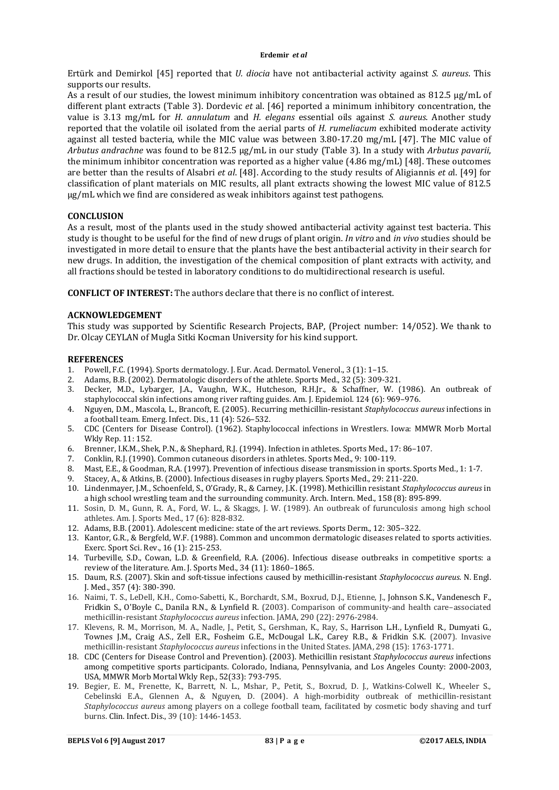Ertürk and Demirkol [45] reported that *U. diocia* have not antibacterial activity against *S. aureus*. This supports our results.

As a result of our studies, the lowest minimum inhibitory concentration was obtained as 812.5 μg/mL of different plant extracts (Table 3). Dordevic *et* al. [46] reported a minimum inhibitory concentration, the value is 3.13 mg/mL for *H. annulatum* and *H. elegans* essential oils against *S. aureus*. Another study reported that the volatile oil isolated from the aerial parts of *H. rumeliacum* exhibited moderate activity against all tested bacteria, while the MIC value was between 3.80-17.20 mg/mL [47]. The MIC value of *Arbutus andrachne* was found to be 812.5 μg/mL in our study (Table 3). In a study with *Arbutus pavarii*, the minimum inhibitor concentration was reported as a higher value (4.86 mg/mL) [48]. These outcomes are better than the results of Alsabri *et al*. [48]. According to the study results of Aligiannis *et a*l. [49] for classification of plant materials on MIC results, all plant extracts showing the lowest MIC value of 812.5 μg/mL which we find are considered as weak inhibitors against test pathogens.

# **CONCLUSION**

As a result, most of the plants used in the study showed antibacterial activity against test bacteria. This study is thought to be useful for the find of new drugs of plant origin. *In vitro* and *in vivo* studies should be investigated in more detail to ensure that the plants have the best antibacterial activity in their search for new drugs. In addition, the investigation of the chemical composition of plant extracts with activity, and all fractions should be tested in laboratory conditions to do multidirectional research is useful.

**CONFLICT OF INTEREST:** The authors declare that there is no conflict of interest.

### **ACKNOWLEDGEMENT**

This study was supported by Scientific Research Projects, BAP, (Project number: 14/052). We thank to Dr. Olcay CEYLAN of Mugla Sitki Kocman University for his kind support.

#### **REFERENCES**

- 1. Powell, F.C. (1994). Sports dermatology. J. Eur. Acad. Dermatol. Venerol., 3 (1): 1–15.
- 2. Adams, B.B. (2002). Dermatologic disorders of the athlete. Sports Med., 32 (5): 309-321.
- 3. Decker, M.D., Lybarger, J.A., Vaughn, W.K., Hutcheson, R.H.Jr., & Schaffner, W. (1986). An outbreak of staphylococcal skin infections among river rafting guides. Am. J. Epidemiol. 124 (6): 969–976.
- 4. Nguyen, D.M., Mascola, L., Brancoft, E. (2005). Recurring methicillin-resistant *Staphylococcus aureus* infections in a football team. Emerg. Infect. Dis., 11 (4): 526–532.
- 5. CDC (Centers for Disease Control). (1962). Staphylococcal infections in Wrestlers. Iowa: MMWR Morb Mortal Wkly Rep. 11: 152.
- 6. Brenner, I.K.M., Shek, P.N., & Shephard, R.J. (1994). Infection in athletes. Sports Med., 17: 86–107.
- 7. Conklin, R.J. (1990). Common cutaneous disorders in athletes. Sports Med., 9: 100-119.
- 8. Mast, E.E., & Goodman, R.A. (1997). Prevention of infectious disease transmission in sports. Sports Med., 1: 1-7.
- 9. Stacey, A., & Atkins, B. (2000). Infectious diseases in rugby players. Sports Med., 29: 211-220.
- 10. Lindenmayer, J.M., Schoenfeld, S., O'Grady, R., & Carney, J.K. (1998). Methicillin resistant *Staphylococcus aureus* in a high school wrestling team and the surrounding community. Arch. Intern. Med., 158 (8): 895-899.
- 11. Sosin, D. M., Gunn, R. A., Ford, W. L., & Skaggs, J. W. (1989). An outbreak of furunculosis among high school athletes. Am. J. Sports Med., 17 (6): 828-832.
- 12. Adams, B.B. (2001). Adolescent medicine: state of the art reviews. Sports Derm., 12: 305–322.
- 13. Kantor, G.R., & Bergfeld, W.F. (1988). Common and uncommon dermatologic diseases related to sports activities. Exerc. Sport Sci. Rev., 16 (1): 215-253.
- 14. Turbeville, S.D., Cowan, L.D. & Greenfield, R.A. (2006). Infectious disease outbreaks in competitive sports: a review of the literature. Am. J. Sports Med., 34 (11): 1860–1865.
- 15. Daum, R.S. (2007). Skin and soft-tissue infections caused by methicillin-resistant *Staphylococcus aureus*. N. Engl. J. Med., 357 (4): 380-390.
- 16. Naimi, T. S., LeDell, K.H., Como-Sabetti, K., Borchardt, S.M., Boxrud, D.J., Etienne, J., Johnson S.K., Vandenesch F., Fridkin S., O'Boyle C., Danila R.N., & Lynfield R. (2003). Comparison of community-and health care–associated methicillin-resistant *Staphylococcus aureus* infection. JAMA, 290 (22): 2976-2984.
- 17. Klevens, R. M., Morrison, M. A., Nadle, J., Petit, S., Gershman, K., Ray, S., Harrison L.H., Lynfield R., Dumyati G., Townes J.M., Craig A.S., Zell E.R., Fosheim G.E., McDougal L.K., Carey R.B., & Fridkin S.K. (2007). Invasive methicillin-resistant *Staphylococcus aureus* infections in the United States. JAMA, 298 (15): 1763-1771.
- 18. CDC (Centers for Disease Control and Prevention). (2003). Methicillin resistant *Staphylococcus aureus* infections among competitive sports participants. Colorado, Indiana, Pennsylvania, and Los Angeles County: 2000-2003, USA, MMWR Morb Mortal Wkly Rep., 52(33): 793-795.
- 19. Begier, E. M., Frenette, K., Barrett, N. L., Mshar, P., Petit, S., Boxrud, D. J., Watkins-Colwell K., Wheeler S., Cebelinski E.A., Glennen A., & Nguyen, D. (2004). A high-morbidity outbreak of methicillin-resistant *Staphylococcus aureus* among players on a college football team, facilitated by cosmetic body shaving and turf burns. Clin. Infect. Dis., 39 (10): 1446-1453.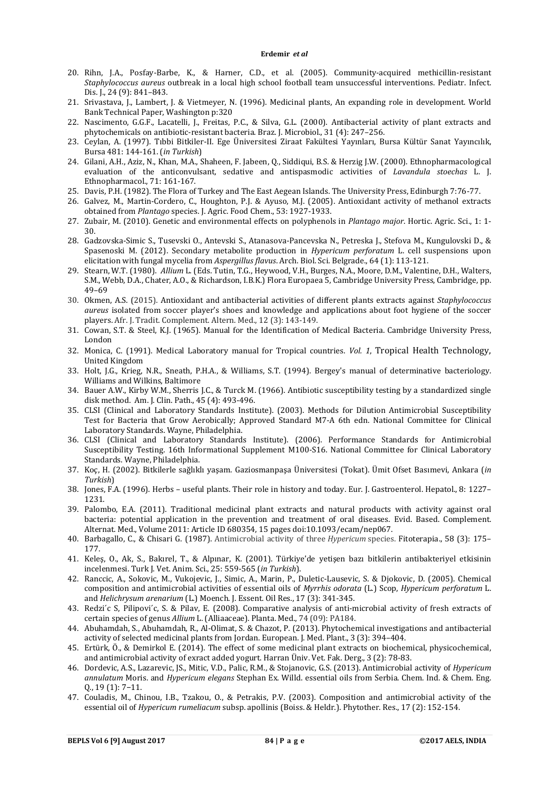- 20. Rihn, J.A., Posfay-Barbe, K., & Harner, C.D., et al. (2005). Community-acquired methicillin-resistant *Staphylococcus aureus* outbreak in a local high school football team unsuccessful interventions. Pediatr. Infect. Dis. J., 24 (9): 841–843.
- 21. Srivastava, J., Lambert, J. & Vietmeyer, N. (1996). Medicinal plants, An expanding role in development. World Bank Technical Paper, Washington p:320
- 22. Nascimento, G.G.F., Lacatelli, J., Freitas, P.C., & Silva, G.L. (2000). Antibacterial activity of plant extracts and phytochemicals on antibiotic-resistant bacteria. Braz. J. Microbiol., 31 (4): 247–256.
- 23. Ceylan, A. (1997). Tıbbi Bitkiler-II. Ege Üniversitesi Ziraat Fakültesi Yayınları, Bursa Kültür Sanat Yayıncılık, Bursa 481: 144-161. (*in Turkish*)
- 24. Gilani, A.H., Aziz, N., Khan, M.A., Shaheen, F. Jabeen, Q., Siddiqui, B.S. & Herzig J.W. (2000). Ethnopharmacological evaluation of the anticonvulsant, sedative and antispasmodic activities of *Lavandula stoechas* L. J. Ethnopharmacol., 71: 161-167.
- 25. Davis, P.H. (1982). The Flora of Turkey and The East Aegean Islands. The University Press, Edinburgh 7:76-77.
- 26. Galvez, M., Martin-Cordero, C., Houghton, P.J. & Ayuso, M.J. (2005). Antioxidant activity of methanol extracts obtained from *Plantago* species. J. Agric. Food Chem., 53: 1927-1933.
- 27. Zubair, M. (2010). Genetic and environmental effects on polyphenols in *Plantago major*. Hortic. Agric. Sci., 1: 1- 30.
- 28. Gadzovska-Simic S., Tusevski O., Antevski S., Atanasova-Pancevska N., Petreska J., Stefova M., Kungulovski D., & Spasenoski M. (2012). Secondary metabolite production in *Hypericum perforatum* L. cell suspensions upon elicitation with fungal mycelia from *Aspergillus flavus*. Arch. Biol. Sci. Belgrade., 64 (1): 113-121.
- 29. Stearn, W.T. (1980). *Allium* L. (Eds. Tutin, T.G., Heywood, V.H., Burges, N.A., Moore, D.M., Valentine, D.H., Walters, S.M., Webb, D.A., Chater, A.O., & Richardson, I.B.K.) Flora Europaea 5, Cambridge University Press, Cambridge, pp. 49–69
- 30. Okmen, A.S. (2015). Antioxidant and antibacterial activities of different plants extracts against *Staphylococcus aureus* isolated from soccer player's shoes and knowledge and applications about foot hygiene of the soccer players. Afr. J. Tradit. Complement. Altern. Med., 12 (3): 143-149.
- 31. Cowan, S.T. & Steel, K.J. (1965). Manual for the Identification of Medical Bacteria. Cambridge University Press, London
- 32. Monica, C. (1991). Medical Laboratory manual for Tropical countries. *Vol. 1*, Tropical Health Technology, United Kingdom
- 33. Holt, J.G., Krieg, N.R., Sneath, P.H.A., & Williams, S.T. (1994). Bergey's manual of determinative bacteriology. Williams and Wilkins, Baltimore
- 34. Bauer A.W., Kirby W.M., Sherris J.C., & Turck M. (1966). Antibiotic susceptibility testing by a standardized single disk method. Am. J. Clin. Path., 45 (4): 493-496.
- 35. CLSI (Clinical and Laboratory Standards Institute). (2003). Methods for Dilution Antimicrobial Susceptibility Test for Bacteria that Grow Aerobically; Approved Standard M7-A 6th edn. National Committee for Clinical Laboratory Standards. Wayne, Philadelphia.
- 36. CLSI (Clinical and Laboratory Standards Institute). (2006). Performance Standards for Antimicrobial Susceptibility Testing. 16th Informational Supplement M100-S16. National Committee for Clinical Laboratory Standards. Wayne, Philadelphia.
- 37. Koç, H. (2002). Bitkilerle sağlıklı yaşam. Gaziosmanpaşa Üniversitesi (Tokat). Ümit Ofset Basımevi, Ankara (*in Turkish*)
- 38. Jones, F.A. (1996). Herbs useful plants. Their role in history and today. Eur. J. Gastroenterol. Hepatol., 8: 1227– 1231.
- 39. Palombo, E.A. (2011). Traditional medicinal plant extracts and natural products with activity against oral bacteria: potential application in the prevention and treatment of oral diseases. Evid. Based. Complement. Alternat. Med., Volume 2011: Article ID 680354, 15 pages doi:10.1093/ecam/nep067.
- 40. Barbagallo, C., & Chisari G. (1987). Antimicrobial activity of three *Hypericum* species. Fitoterapia., 58 (3): 175– 177.
- 41. Keleş, O., Ak, S., Bakırel, T., & Alpınar, K. (2001). Türkiye'de yetişen bazı bitkilerin antibakteriyel etkisinin incelenmesi. Turk J. Vet. Anim. Sci., 25: 559-565 (*in Turkish*).
- 42. Ranccic, A., Sokovic, M., Vukojevic, J., Simic, A., Marin, P., Duletic-Lausevic, S. & Djokovic, D. (2005). Chemical composition and antimicrobial activities of essential oils of *Myrrhis odorata* (L.) Scop, *Hypericum perforatum* L. and *Helichrysum arenarium* (L.) Moench. J. Essent. Oil Res., 17 (3): 341-345.
- 43. Redzi´c S, Pilipovi´c, S. & Pilav, E. (2008). Comparative analysis of anti-microbial activity of fresh extracts of certain species of genus *Allium* L. (Alliaaceae). Planta. Med., 74 (09): PA184.
- 44. Abuhamdah, S., Abuhamdah, R., Al-Olimat, S. & Chazot, P. (2013). Phytochemical investigations and antibacterial activity of selected medicinal plants from Jordan. European. J. Med. Plant., 3 (3): 394–404.
- 45. Ertürk, Ö., & Demirkol E. (2014). The effect of some medicinal plant extracts on biochemical, physicochemical, and antimicrobial activity of exract added yogurt. Harran Üniv. Vet. Fak. Derg., 3 (2): 78-83.
- 46. Dordevic, A.S., Lazarevic, JS., Mitic, V.D., Palic, R.M., & Stojanovic, G.S. (2013). Antimicrobial activity of *Hypericum annulatum* Moris. and *Hypericum elegans* Stephan Ex. Willd. essential oils from Serbia. Chem. Ind. & Chem. Eng. Q., 19 (1): 7−11.
- 47. Couladis, M., Chinou, I.B., Tzakou, O., & Petrakis, P.V. (2003). Composition and antimicrobial activity of the essential oil of *Hypericum rumeliacum* subsp. apollinis (Boiss. & Heldr.). Phytother. Res., 17 (2): 152-154.